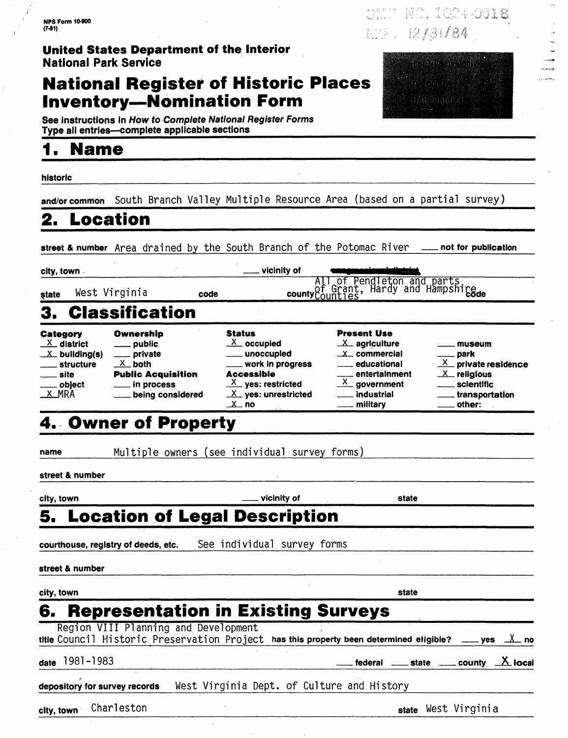### **National Register of Historic Places Inventory-Nomination Form**



NAM NO. 104-0018

EXP. 12/31/84

**See instructions in How to Complete National Register Forms** Type all entries-complete applicable sections

## **1. Name\_\_\_\_\_\_\_\_\_\_\_\_\_\_\_\_\_\_\_\_\_\_\_\_\_\_\_**

**historic \_\_\_\_\_\_\_\_\_\_\_\_\_\_\_\_\_\_\_\_\_\_\_\_\_\_\_\_\_\_\_\_\_\_\_\_\_\_\_\_\_\_\_\_\_\_\_\_\_\_** 

**and/or common** South Branch Valley Multiple Resource Area (based on a partial survey)

### **2. Location**

street & number Area drained by the South Branch of the Potomac River **not for publication** 

| city, town |               |      | ___ vicinity of |                                                                       |
|------------|---------------|------|-----------------|-----------------------------------------------------------------------|
| state      | West Virginia | code |                 | All of Pendleton and parts<br>county of Grant, Hardy and Hampshireade |

being considered

|  |  |  |  | 3. Classification |  |
|--|--|--|--|-------------------|--|
|  |  |  |  |                   |  |
|  |  |  |  |                   |  |

| Category |                       |  |  |
|----------|-----------------------|--|--|
|          | $X$ district          |  |  |
|          | $\mathbb{Z}$ buliding |  |  |
|          | ____ structur         |  |  |

| $X$ district    | $\equiv$ public           |
|-----------------|---------------------------|
| $X$ buliding(s) | ___ private               |
| ___ structure   | $X$ both                  |
| site<br>$\sim$  | <b>Public Acquisition</b> |
| object          | $\equiv$ in process       |
| X_MRA           | being considere           |

#### Status  $X$  occupied unoccupied

| ___ work in progress          |
|-------------------------------|
| Accessible                    |
| $\frac{X}{X}$ yes: restricted |
| $X$ yes: unrestricted         |
| . X . no                      |

### $ss$ Present Use  $\mathsf{X}$  $\mathsf{x}$

| X <sub>—</sub> agriculture        |  |
|-----------------------------------|--|
| X <sub>-commercial</sub>          |  |
| <u>__</u> educational             |  |
|                                   |  |
| __ entertalnment<br>X_ government |  |
|                                   |  |
| — militarv                        |  |

#### $X$  private residence  $X$  religious scientific

museum park

| transportation |  |
|----------------|--|
| other:         |  |

## 4. Owner of Property

Ownership

**name** Multiple owners (see individual survey forms)

**street & number**

**city, town vicinity of state**

## **5. Location of Legal Description**

**courthouse, registry of deeds, etc.** See individual survey forms

**street & number**

| city, town                           | state                                                                                                    |  |
|--------------------------------------|----------------------------------------------------------------------------------------------------------|--|
|                                      | 6. Representation in Existing Surveys                                                                    |  |
| Region VIII Planning and Development | titie Council Historic Preservation Project has this property been determined eligible? ____ yes __X_ no |  |
| date 1981-1983                       | <u>___</u> federal ____ state ____ county _X_ local                                                      |  |
| depository for survey records        | West Virginia Dept. of Culture and History                                                               |  |

**city, town** Charl eston **state** West Virginia

| etato |
|-------|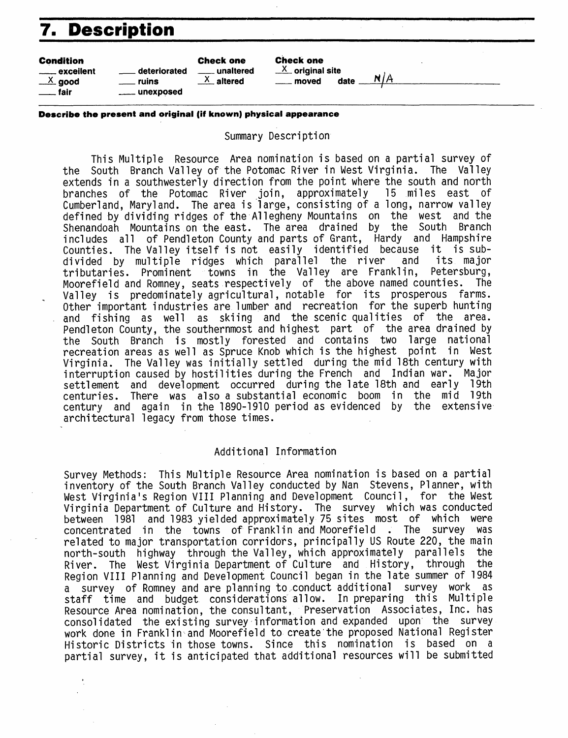## **7. Description**

| <b>Condition</b><br>deteriorated<br>_____ excellent<br>$\frac{X}{2}$ good<br>ruins<br>unexposed<br>. fair | <b>Check one</b><br>unaltered<br>altered | <b>Check one</b><br>$X$ original site<br>date<br>moved | n/A |
|-----------------------------------------------------------------------------------------------------------|------------------------------------------|--------------------------------------------------------|-----|
|-----------------------------------------------------------------------------------------------------------|------------------------------------------|--------------------------------------------------------|-----|

#### **Describe the present and original (if known) physical appearance**

Summary Description

This Multiple Resource Area nomination is based on a partial survey of the South Branch Valley of the Potomac River in West Virginia. The Valley extends in a southwesterly direction from the point where the south and north<br>branches of the Potomac River join, approximately 15 miles east of branches of the Potomac River join, approximately Cumberland, Maryland. The area is large, consisting of a long, narrow valley defined by dividing ridges of the Allegheny Mountains on the west and the Shenandoah Mountains on the east. The area drained by the South Branch includes all of Pendleton County and parts of Grant, Hardy and Hampshire Counties. The Valley itself is not easily identified because divided by multiple ridges which parallel the river and its major<br>tributaries, Prominent, towns in the Vallev are Franklin, Petersburg, tributaries. Prominent towns in the Valley are Franklin, Moorefield and Romney, seats respectively of the above named counties. The Valley is predominately agricultural, notable for its prosperous farms. Other important industries are lumber and recreation for the superb hunting and fishing as well as skiing and the scenic qualities of the area. Pendleton County, the southernmost and highest part of the area drained by the South Branch is mostly forested and contains two large national recreation areas as well as Spruce Knob which is the highest point in West Virginia. The Valley was initially settled during the mid 18th century with interruption caused by hostilities during the French and Indian war. Major settlement and development occurred during the late 18th and early 19th centuries. There was also a substantial economic boom in the mid 19th century and again in the 1890-1910 period as evidenced by the extensive architectural legacy from those times.

#### Additional Information

Survey Methods: This Multiple Resource Area nomination is based on a partial inventory of the South Branch Valley conducted by Nan Stevens, Planner, with West Virginia's Region VIII Planning and Development Council, for the West Virginia Department of Culture and History. The survey which was conducted between 1981 and 1983 yielded approximately 75 sites most of which were concentrated in the towns of Franklin and Moorefield . The survey was related to major transportation corridors, principally US Route 220, the main north-south highway through the Valley, which approximately parallels the River. The West Virginia Department of Culture and History, through the Region VIII Planning and Development Council began in the late summer of 1984 a survey of Romney and are planning to,conduct additional survey work as staff time and budget considerations allow. In preparing this Multiple Resource Area nomination, the consultant, Preservation Associates, Inc. has consolidated the existing survey information and expanded upon the survey work done in Franklin and Moorefield to create'the proposed National Register Historic Districts in those towns. Since this nomination is based on a partial survey, it is anticipated that additional resources will be submitted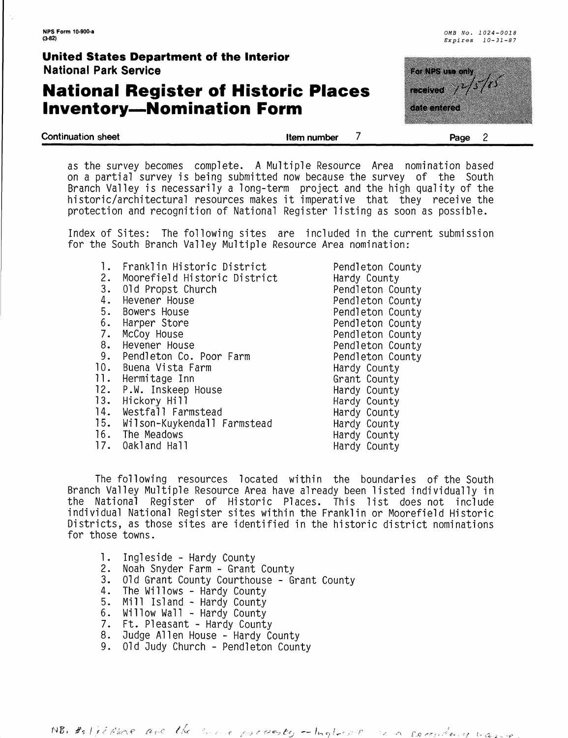### **National Register of Historic Places Inventory-Nomination Form**



**Continuation sheet Item number Page 2**

antan

as the survey becomes complete. A Multiple Resource Area nomination based on a partial survey is being submitted now because the survey of the South Branch Valley is necessarily a long-term project and the high quality of the historic/architectural resources makes it imperative that they receive the protection and recognition of National Register listing as soon as possible.

Index of Sites: The following sites are included in the current submission for the South Branch Valley Multiple Resource Area nomination:

- 1. Franklin Historic District<br>2. Moorefield Historic Distri
- 2. Moorefield Historic District
- 01d Propst Church
- 4. Hevener House
- 5. Bowers House
- 
- 6. Harper Store McCoy House
- 
- 8. Hevener House<br>9. Pendleton Co. Pendleton Co. Poor Farm
- 10. Buena Vista Farm
- 
- 11. Hermitage Inn<br>12. P.W. Inskeep |
- 12. P.W. Inskeep House<br>13. Hickory Hill
- Hickory Hill
- 14. Westfall Farmstead<br>15. Wilson-Kuvkendall B
- Wilson-Kuykendall Farmstead
- 16. The Meadows<br>17. Oakland Hal
- 0akland Hall

Pendleton County Hardy County Pendleton County Pendleton County Pendleton County Pendleton County Pendleton County Pendleton County Pendleton County Hardy County Grant County Hardy County Hardy County Hardy County Hardy County Hardy County Hardy County

The following resources located within the boundaries of the South Branch Valley Multiple Resource Area have already been listed individually in the National Register of Historic Places. This list does not include individual National Register sites within the Franklin or Moorefield Historic Districts, as those sites are identified in the historic district nominations for those towns.

- 1. Ingleside Hardy County
- 
- 2. Noah Snyder Farm Grant County 01d Grant County Courthouse - Grant County
- 4. The Willows Hardy County
- 5. Mill Island Hardy County
- 6. Willow Wall Hardy County
- 7. Ft. Pleasant Hardy County
- 8. Judge Allen House Hardy County
- 9. Old 3udy Church Pendleton County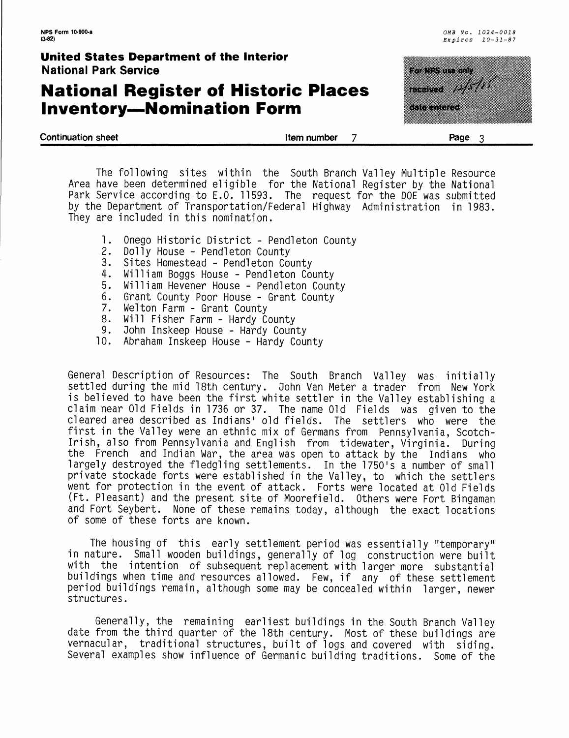### **National Register of Historic Places Inventory-Nomination Form**

| <b>United States Department of the Interior</b><br><b>National Park Service</b> |             | <b>The New York Concept</b>                       |
|---------------------------------------------------------------------------------|-------------|---------------------------------------------------|
| <b>National Register of Historic Places</b><br><b>Inventory-Nomination Form</b> |             | <b>The Second Property</b><br><u>koostellin a</u> |
| <b>Continuation sheet</b>                                                       | Item number | Page                                              |

The following sites within the South Branch Valley Multiple Resource Area have been determined eligible for the National Register by the National Park Service according to E.G. 11593. The request for the DOE was submitted by the Department of Transportation/Federal Highway Administration in 1983. They are included in this nomination.

- 1. Onego Historic District Pendleton County<br>2. Dolly House Pendleton County
- 2. Dolly House Pendleton County
- 3. Sites Homestead Pendleton County<br>4. William Boggs House Pendleton Co
- 4. William Boggs House Pendleton County
- 5. William Hevener House Pendleton County
- 6. Grant County Poor House Grant County<br>7. Welton Farm Grant County
- 7. Welton Farm Grant County<br>8. Will Fisher Farm Hardy C
- 8. Will Fisher Farm Hardy County<br>9. John Inskeep House Hardy Coun
- John Inskeep House Hardy County
- 10. Abraham Inskeep House Hardy County

General Description of Resources: The South Branch Valley was initially settled during the mid 18th century. John Van Meter a trader from New York is believed to have been the first white settler in the Valley establishing a claim near Old Fields in 1736 or 37. The name Old Fields was given to the cleared area described as Indians' old fields. The settlers who were the first in the Valley were an ethnic mix of Germans from Pennsylvania, Scotch-Irish, also from Pennsylvania and English from tidewater, Virginia. During the French and Indian War, the area was open to attack by the Indians who largely destroyed the fledgling settlements. In the 1750's a number of small private stockade forts were established in the Valley, to which the settlers went for protection in the event of attack. Forts were located at Old Fields (Ft. Pleasant) and the present site of Moorefield. Others were Fort Bingaman and Fort Seybert. None of these remains today, although the exact locations of some of these forts are known.

The housing of this early settlement period was essentially "temporary" in nature. Small wooden buildings, generally of log construction were built with the intention of subsequent replacement with larger more substantial buildings when time and resources allowed. Few, if any of these settlement period buildings remain, although some may be concealed within larger, newer structures.

Generally, the remaining earliest buildings in the South Branch Valley date from the third quarter of the 18th century. Most of these buildings are vernacular, traditional structures, built of logs and covered with siding. Several examples show influence of Germanic building traditions. Some of the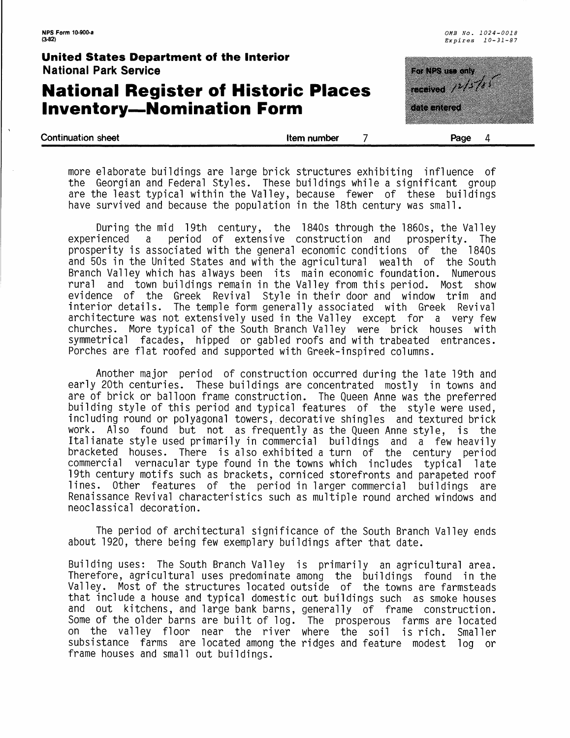### **National Register of Historic Places Inventory-Nomination Form**

<u>matan sa</u> ncewed 1977 u kacamatan I

*0MB No. 1024-0018 Expires 10-31-87*

| more elaborate buildings are large brick structures exhibiting influence of |  |
|-----------------------------------------------------------------------------|--|
| the Georgian and Federal Styles. These buildings while a significant group  |  |
| are the least typical within the Valley, because fewer of these buildings   |  |
| have survived and because the population in the 18th century was small.     |  |

**Continuation sheet Item number Page 4 Page 4** 

During the mid 19th century, the 1840s through the 1860s, the Valley experienced a period of extensive construction and prosperity. The prosperity is associated with the general economic conditions of the 1840s and 50s in the United States and with the agricultural wealth of the South Branch Valley which has always been its main economic foundation. Numerous rural and town buildings remain in the Valley from this period. Most show evidence of the Greek Revival Style in their door and window trim and interior details. The temple form generally associated with Greek Revival architecture was not extensively used in the Valley except for a very few churches. More typical of the South Branch Valley were brick houses with symmetrical facades, hipped or gabled roofs and with trabeated entrances. Porches are flat roofed and supported with Greek-inspired columns.

Another major period of construction occurred during the late 19th and early 20th centuries. These buildings are concentrated mostly in towns and are of brick or balloon frame construction. The Queen Anne was the preferred building style of this period and typical features of the style were used, including round or polyagonal towers, decorative shingles and textured brick work. Also found but not as frequently as the Queen Anne style, is the Italianate style used primarily in commercial buildings and a few heavily bracketed houses. There is also exhibited a turn of the century period commercial vernacular type found in the towns which includes typical late 19th century motifs such as brackets, corniced storefronts and parapeted roof lines. Other features of the period in larger commercial buildings are Renaissance Revival characteristics such as multiple round arched windows and neoclassical decoration.

The period of architectural significance of the South Branch Valley ends about 1920, there being few exemplary buildings after that date.

Building uses: The South Branch Valley is primarily an agricultural area. Therefore, agricultural uses predominate among the buildings found in the Valley. Most of the structures located outside of the towns are farmsteads that include a house and typical domestic out buildings such as smoke houses and out kitchens, and large bank barns, generally of frame construction. Some of the older barns are built of log. The prosperous farms are located on the valley floor near the river where the soil is rich. Smaller subsistence farms are located among the ridges and feature modest log or frame houses and small out buildings.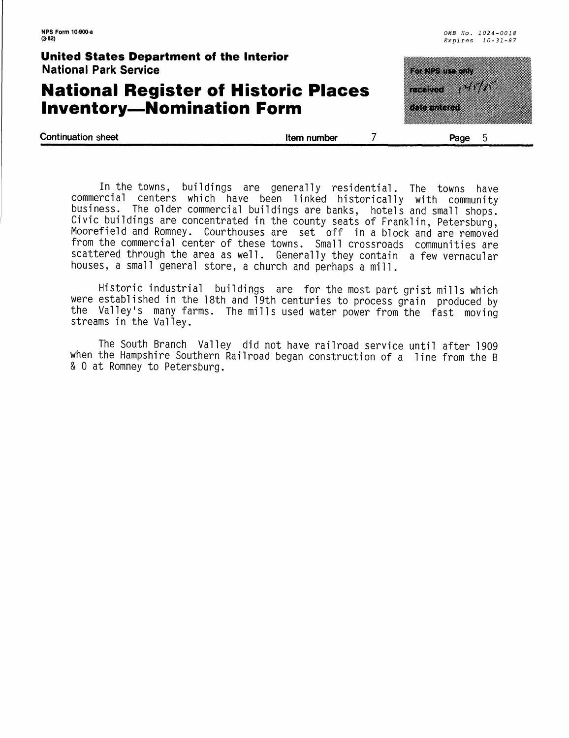### **National Register of Historic Places Inventory-Nomination Form**

| <u>tang an</u>     |  |  |
|--------------------|--|--|
| navel 2007         |  |  |
| <u>a shekara t</u> |  |  |
|                    |  |  |
|                    |  |  |

**Continuation sheet Continuation sheet Continuation sheet Continuation sheet Continuation sheet Continuation Spage 5** 

In the towns, buildings are generally residential. The towns have commercial centers which have been linked historically with community business. The older commercial buildings are banks, hotels and small shops. Civic buildings are concentrated in the county seats of Franklin, Petersburg, Moorefield and Romney. Courthouses are set off in a block and are removed from the commercial center of these towns. Small crossroads communities are scattered through the area as well. Generally they contain a few vernacular houses, a small general store, a church and perhaps a mill.

Historic industrial buildings are for the most part grist mills which were established in the 18th and 19th centuries to process grain produced by the Valley's many farms. The mills used water power from the fast moving streams in the Valley.

The South Branch Valley did not have railroad service until after 1909 when the Hampshire Southern Railroad began construction of a line from the B & 0 at Romney to Petersburg.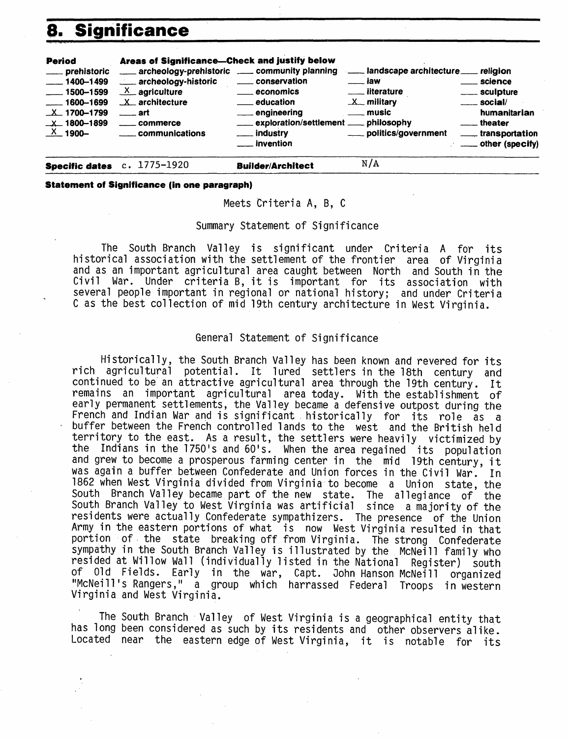### **8. Significance**



**Statement of Significance (in one paragraph)**

Meets Criteria A, B, C

#### Summary Statement of Significance

The South Branch Valley is significant under Criteria A for its historical association with the settlement of the frontier area of Virginia and as an important agricultural area caught between North and South in the Civil War. Under criteria B, it is important for its association with several people important in regional or national history; and under Criteria C as the best collection of mid 19th century architecture in West Virginia.

#### General Statement of Significance

Historically, the South Branch Valley has been known and revered for its rich agricultural potential. It lured settlers in the 18th century and continued to be an attractive agricultural area through the 19th century. It remains an important agricultural area today. With the establishment of early permanent settlements, the Valley became a defensive outpost during the French and Indian War and is significant historically for its role as a buffer between the French controlled lands to the west and the British held territory to the east. As a result, the settlers were heavily victimized by the Indians in the 1750's and 60's. When the area regained its population and grew to become a prosperous farming center in the mid 19th century, it was again a buffer between Confederate and Union forces in the Civil War. In 1862 when West Virginia divided from Virginia to become a Union state, the South Branch Valley became part of the new state. The allegiance of the South Branch Valley to West Virginia was artificial since a majority of the residents were actually Confederate sympathizers. The presence of the Union Army in the eastern portions of what is now West Virginia resulted in that portion of the state breaking off from Virginia. The strong Confederate sympathy in the South Branch Valley is illustrated by the McNeill family who resided at Willow Wall (individually listed in the National Register) south of Old Fields. Early in the war, Capt. John Hanson McNeill organized "McNeill's Rangers," a group which harrassed Federal Troops in western Virginia and West Virginia.

The South Branch Valley of West Virginia is a geographical entity that has long been considered as such by its residents and other observers alike. Located near the eastern edge of West Virginia, it is notable for its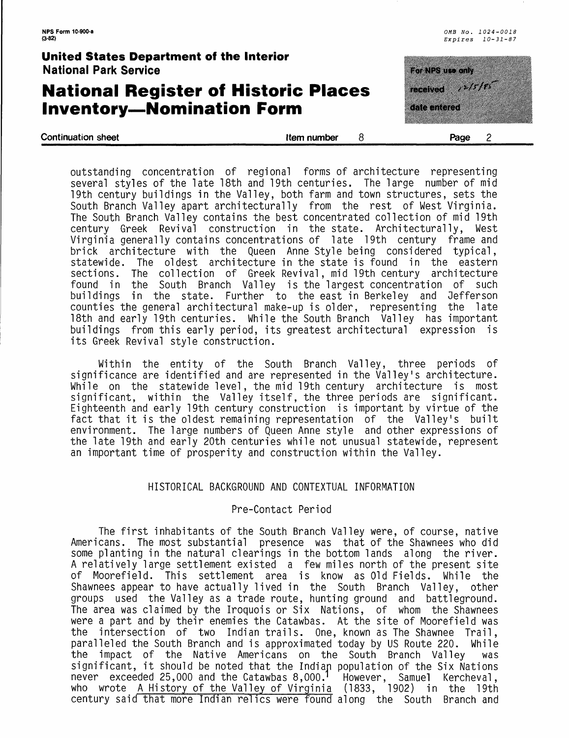### **National Register of Historic Places Inventory—Nomination Form**

| <b>United States Department of the Interior</b><br><b>National Park Service</b> |             | a a shekarar 1970                                                                                                                              |
|---------------------------------------------------------------------------------|-------------|------------------------------------------------------------------------------------------------------------------------------------------------|
| <b>National Register of Historic Places</b><br><b>Inventory-Nomination Form</b> |             | <u>android and the second second and the second second and the second second and second and second and second and </u><br><b>Tale interest</b> |
| <b>Continuation sheet</b>                                                       | Item number | Page                                                                                                                                           |

outstanding concentration of regional forms of architecture representing several styles of the late 18th and 19th centuries. The large number of mid 19th century buildings in the Valley, both farm and town structures, sets the South Branch Valley apart architecturally from the rest of West Virginia. The South Branch Valley contains the best concentrated collection of mid 19th century Greek Revival construction in the state. Architecturally, West Virginia generally contains concentrations of late 19th century frame and brick architecture with the Queen Anne Style being considered typical, statewide. The oldest architecture in the state is found in the eastern sections. The collection of Greek Revival, mid 19th century architecture found in the South Branch Valley is the largest concentration of such buildings in the state. Further to the-east-in-Berkeley and Jefferson counties the general architectural make-up is older, representing the late 18th and early 19th centuries. While the South Branch Valley has important buildings from this early period, its greatest architectural expression is its Greek Revival style construction.

Within the entity of the South Branch Valley, three periods of significance are identified and are represented in the Valley's architecture. While on the statewide level, the mid 19th century architecture is most significant, within the Valley itself, the three periods are significant. Eighteenth and early 19th century construction is important by virtue of the fact that it is the oldest remaining representation of the Valley's built environment. The large numbers of Queen Anne style and other expressions of the late 19th and early 20th centuries while not unusual statewide, represent an important time of prosperity and construction within the Valley.

#### HISTORICAL BACKGROUND AND CONTEXTUAL INFORMATION

#### Pre-Contact Period

The first inhabitants of the South Branch Valley were, of course, native Americans. The most substantial presence was that of the Shawnees who did some planting in the natural clearings in the bottom lands along the river. A relatively large settlement existed a few miles north of the present site of Moorefield. This settlement area is know as Old Fields. While the Shawnees appear to have actually lived in the South Branch Valley, other groups used the Valley as a trade route, hunting ground and battleground. The area was claimed by the Iroquois or Six Nations, of whom the Shawnees were a part and by their enemies the Catawbas. At the site of Moorefield was the intersection of two Indian trails. One, known as The Shawnee Trail, paralleled the South Branch and is approximated today by US Route 220. While the impact of the Native Americans on the South Branch Valley was significant, it should be noted that the Indian population of the Six Nations never exceeded 25,000 and the Catawbas 8,000.' However, Samuel Kercheval, who wrote A History of the Valley of Virginia (1833, 1902) in the 19th century said that more Indian relics were found along the South Branch and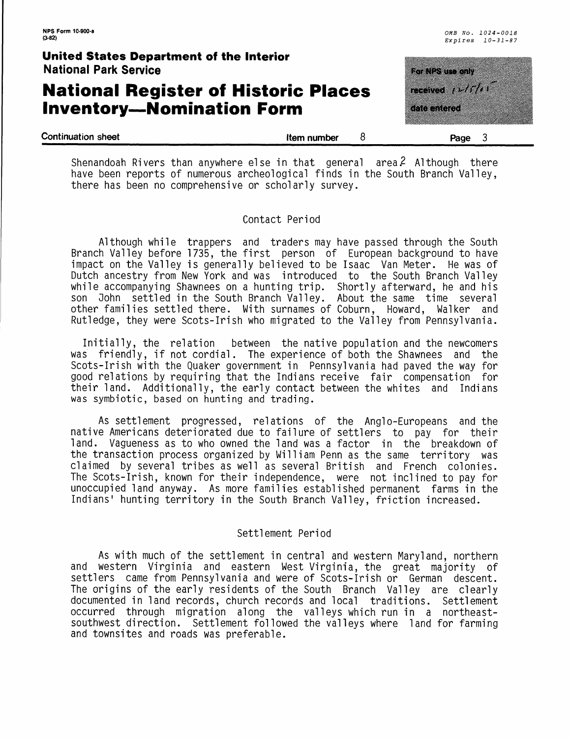### **National Register of Historic Places Inventory—Nomination Form**

<u> Kabupatèn Ba</u> aana wiili aa aan

| <b>Continuation sheet</b> | Item number | Page |  |
|---------------------------|-------------|------|--|
|                           |             |      |  |

Shenandoah Rivers than anywhere else in that general area.<sup>2</sup> Although there have been reports of numerous archeological finds in the South Branch Valley, there has been no comprehensive or scholarly survey.

#### Contact Period

Although while trappers and traders may have passed through the South Branch Valley before 1735, the first person of European background to have impact on the Valley is generally believed to be Isaac Van Meter. He was of Dutch ancestry from New York and was introduced to the South Branch Valley while accompanying Shawnees on a hunting trip. Shortly afterward, he and his son Oohn settled in the South Branch Valley. About the same time several other families settled there. With surnames of Coburn, Howard, Walker and Rutledge, they were Scots-Irish who migrated to the Valley from Pennsylvania.

Initially, the relation between the native population and the newcomers was friendly, if not cordial. The experience of both the Shawnees and the Scots-Irish with the Quaker government in Pennsylvania had paved the way for good relations by requiring that the Indians receive fair compensation for their land. Additionally, the early contact between the whites and Indians was symbiotic, based on hunting and trading.

As settlement progressed, relations of the Anglo-Europeans and the native Americans deteriorated due to failure of settlers to pay for their land. Vagueness as to who owned the land was a factor in the breakdown of the transaction process organized by William Penn as the same territory was claimed by several tribes as well as several British and French colonies. The Scots-Irish, known for their independence, were not inclined to pay for unoccupied land anyway. As more families established permanent farms in the Indians' hunting territory in the South Branch Valley, friction increased.

#### Settlement Period

As with much of the settlement in central and western Maryland, northern and western Virginia and eastern West Virginia, the great majority of settlers came from Pennsylvania and were of Scots-Irish or German descent. The origins of the early residents of the South Branch Valley are clearly documented in land records, church records and local traditions. Settlement occurred through migration along the valleys which run in a northeastsouthwest direction. Settlement followed the valleys where land for farming and townsites and roads was preferable.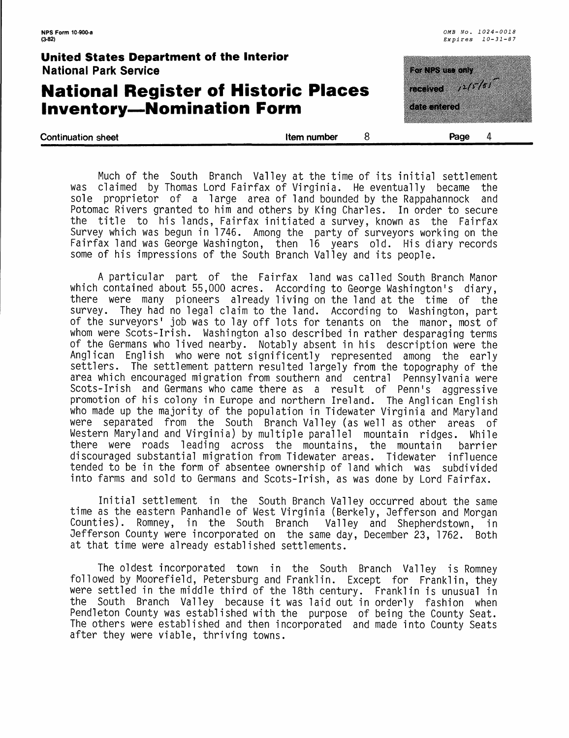### **National Register of Historic Places Inventory—Nomination Form**

<u>ka da ma</u> ncense 1977 **EREMONDENTE** 

| <b>Continuation sheet</b> | Item number | Page | Д. |
|---------------------------|-------------|------|----|
|                           |             |      |    |

Much of the South Branch Valley at the time of its initial settlement was claimed by Thomas Lord Fairfax of Virginia. He eventually became the sole proprietor of a large area of land bounded by the Rappahannock and Potomac Rivers granted to him and others by King Charles. In order to secure the title to his lands, Fairfax initiated a survey, known as the Fairfax Survey which was begun in 1746. Among the party of surveyors working on the Fairfax land was George Washington, then 16 years old. His diary records some of his impressions of the South Branch Valley and its people.

A particular part of the Fairfax land was called South Branch Manor which contained about 55,000 acres. According to George Washington's diary, there were many pioneers already living on the land at the time of the survey. They had no legal claim to the land. According to Washington, part of the surveyors' job was to lay off lots for tenants on the manor, most of whom were Scots-Irish. Washington also described in rather desparaging terms of the Germans who lived nearby. Notably absent in his description were the Anglican English who were not significently represented among the early settlers. The settlement pattern resulted largely from the topography of the area which encouraged migration from southern and central Pennsylvania were Scots-Irish and Germans who came there as a result of Penn's aggressive promotion of his colony in Europe and northern Ireland. The Anglican English who made up the majority of the population in Tidewater Virginia and Maryland were separated from the South Branch Valley (as well as other areas of Western Maryland and Virginia) by multiple parallel mountain ridges. While there were roads leading across the mountains, the mountain barrier discouraged substantial migration from Tidewater areas. Tidewater influence tended to be in the form of absentee ownership of land which was subdivided into farms and sold to Germans and Scots-Irish, as was done by Lord Fairfax.

Initial settlement in the South Branch Valley occurred about the same time as the eastern Panhandle of West Virginia (Berkely, Oefferson and Morgan Counties). Romney, in the South Branch Valley and Shepherdstown, in Jefferson County were incorporated on the same day, December 23, 1762. Both at that time were already established settlements.

The oldest incorporated town in the South Branch Valley is Romney followed by Moorefield, Petersburg and Franklin. Except for Franklin, they were settled in the middle third of the 18th century. Franklin is unusual in the South Branch Valley because it was laid out in orderly fashion when Pendleton County was established with the purpose of being the County Seat. The others were established and then incorporated and made into County Seats after they were viable, thriving towns.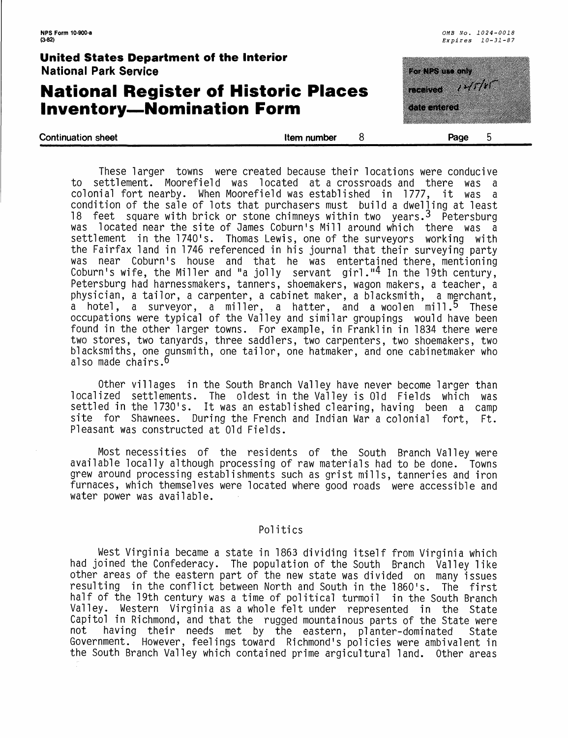### **National Register of Historic Places Inventory—Nomination Form**

<u>ka da ma</u> **TANA MARK START START START START START START START START START START START START START START START START START ST** a shekara **Continuation sheet Continuation sheet 1** 

These larger towns were created because their locations were conducive to settlement. Moorefield was located at a crossroads and there was a colonial fort nearby. When Moorefield was established in 1777, it was a condition of the sale of lots that purchasers must build a dwelling at least 18 feet square with brick or stone chimneys within two years.3 Petersburg was located near the site of Games Coburn's Mill around which there was a settlement in the 1740's. Thomas Lewis, one of the surveyors working with the Fairfax land in 1746 referenced in his journal that their surveying party was near Coburn's house and that he was entertained there, mentioning Coburn's wife, the Miller and "a jolly servant girl."<sup>4</sup> In the 19th century, Petersburg had harnessmakers, tanners, shoemakers, wagon makers, a teacher, a physician, a tailor, a carpenter, a cabinet maker, a blacksmith, a merchant, a hotel, a surveyor, a miller, a hatter, and a woolen mill.<sup>5</sup> These occupations were typical of the Valley and similar groupings would have been found in the other larger towns. For example, in Franklin in 1834 there were two stores, two tanyards, three saddlers, two carpenters, two shoemakers, two blacksmiths, one qunsmith, one tailor, one hatmaker, and one cabinetmaker who also made chairs.6

Other villages in the South Branch Valley have never become larger than localized settlements. The oldest in the Valley is Old Fields which was settled in the 1730's. It was an established clearing, having been a camp site for Shawnees. During the French and Indian War a colonial fort, Ft. Pleasant was constructed at Old Fields.

Most necessities of the residents of the South Branch Valley were available locally although processing of raw materials had to be done. Towns grew around processing establishments such as grist mills, tanneries and iron furnaces, which themselves were located where good roads were accessible and water power was available.

#### Politics

West Virginia became a state in 1863 dividing itself from Virginia which had joined the Confederacy. The population of the South Branch Valley like other areas of the eastern part of the new state was divided on many issues resulting in the conflict between North and South in the 1860's. The first half of the 19th century was a time of political turmoil in the South Branch Valley. Western Virginia as a whole felt under represented in the State Capitol in Richmond, and that the rugged mountainous parts of the State were<br>not shaving their needs met by the eastern, planter-dominated. State having their needs met by the eastern, planter-dominated State Government. However, feelings toward Richmond's policies were ambivalent in the South Branch Valley which contained prime argicultural land. Other areas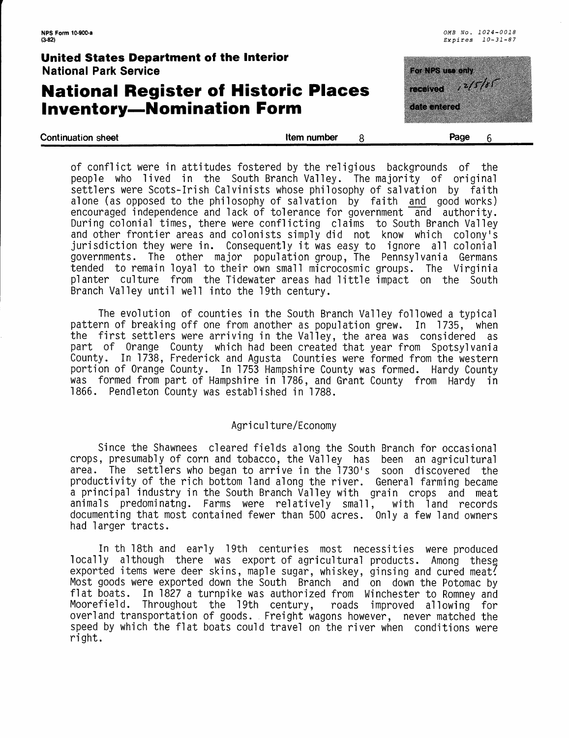### **National Register of Historic Places Inventory—Nomination Form**

<u> Kanadia na m</u> <u>a bilin bilin bilin bilin bilin bilin bilin bilin bilin bilin bilin bilin bilin bilin bilin bilin bilin bilin </u> **Manazarta Kabupatén** a mata

| <b>Continuation sheet</b> | Item number | Page |  |
|---------------------------|-------------|------|--|
|                           |             |      |  |

of conflict were in attitudes fostered by the religious backgrounds of the people who lived in the South Branch Valley. The majority of original settlers were Scots-Irish Calvinists whose philosophy of salvation by faith alone (as opposed to the philosophy of salvation by faith <u>and</u> good works) encouraged independence and lack of tolerance for government and authority. During colonial times, there were conflicting claims to South Branch Valley and other frontier areas and colonists simply did not know which colony's jurisdiction they were in. Consequently it was easy to ignore all colonial governments. The other major population group, The Pennsylvania Germans tended to remain loyal to their own small microcosmic groups. The Virginia planter culture from the Tidewater areas had little impact on the South Branch Valley until well into the 19th century.

The evolution of counties in the South Branch Valley followed a typical pattern of breaking off one from another as population grew. In 1735, when the first settlers were arriving in the Valley, the area was considered as part of Orange County which had been created that year from Spotsylvania County. In 1738, Frederick and Agusta Counties were formed from the western portion of Orange County. In 1753 Hampshire County was formed. Hardy County was formed from part of Hampshire in 1786, and Grant County from Hardy in 1866. Pendleton County was established in 1788.

#### Agriculture/Economy

Since the Shawnees cleared fields along the South Branch for occasional crops, presumably of corn and tobacco, the Valley has been an agricultural area. The settlers who began to arrive in the 1730's soon discovered the productivity of the rich bottom land along the river. General farming became a principal industry in the South Branch Valley with grain crops and meat animals predominatng. Farms were relatively small, with land records documenting that most contained fewer than 500 acres. Only a few land owners had larger tracts.

In th 18th and early 19th centuries most necessities were produced locally although there was export of agricultural products. Among these exported items were deer skins, maple sugar, whiskey, ginsing and cured meat! Most goods were exported down the South Branch and on down the Potomac by flat boats. In 1827 a turnpike was authorized from Winchester to Romney and<br>Moorefield. Throughout the 19th century, roads improved allowing for Moorefield. Throughout the 19th century, overland transportation of goods. Freight wagons however, never matched the speed by which the flat boats could travel on the river when conditions were right.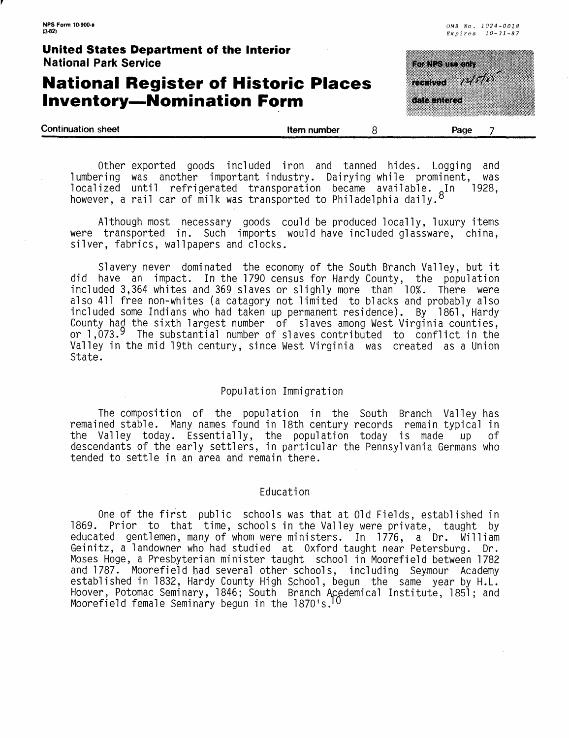| $(3-82)$                                                                        |             | $Ex\rhoires 10-31-87$             |  |
|---------------------------------------------------------------------------------|-------------|-----------------------------------|--|
| United States Department of the Interior<br><b>National Park Service</b>        |             | eta bertan ba                     |  |
| <b>National Register of Historic Places</b><br><b>Inventory-Nomination Form</b> |             | <b>Themved</b> 24777<br>osox maco |  |
| <b>Continuation sheet</b>                                                       | Item number | Page                              |  |

*OMB No. 1024-0018* 

**NPS Form 10-900-a** 

Other exported goods included iron and tanned hides. Logging and lumbering was another important industry. Dairying while prominent, was localized until refrigerated transporation became available. In 1928, however, a rail car of milk was transported to Philadelphia daily.

Although most necessary goods could be produced locally, luxury items were transported in. Such imports would have included glassware, china, silver, fabrics, wallpapers and clocks.

Slavery never dominated the economy of the South Branch Valley, but it did have an impact. In the 1790 census for Hardy County, the population included 3,364 whites and 369 slaves or slighly more than 10%. There were also 411 free non-whites (a catagory not limited to blacks and probably also included some Indians who had taken up permanent residence). By 1861, Hardy County had the sixth largest number of slaves among West Virginia counties, or  $1,073.9$  The substantial number of slaves contributed to conflict in the Valley in the mid 19th century, since West Virginia was created as a Union State.

#### Population Immigration

The composition of the population in the South Branch Valley has remained stable. Many names found in 18th century records remain typical in the Valley today. Essentially, the population today is made up of descendants of the early settlers, in particular the Pennsylvania Germans who tended to settle in an area and remain there.

#### Education

One of the first public schools was that at Old Fields, established in 1869. Prior to that time, schools in the Valley were private, taught by educated gentlemen, many of whom were ministers. In 1776, a Dr. William Geinitz, a landowner who had studied at Oxford taught near Petersburg. Dr. Moses Hoge, a Presbyterian minister taught school in Moorefield between 1782 and 1787. Moorefield had several other schools, including Seymour Academy established in 1832, Hardy County High School, begun the same year by H.L. Hoover, Potomac Seminary, 1846; South Branch Acedemical Institute, 1851; and Moorefield female Seminary begun in the 1870's. 10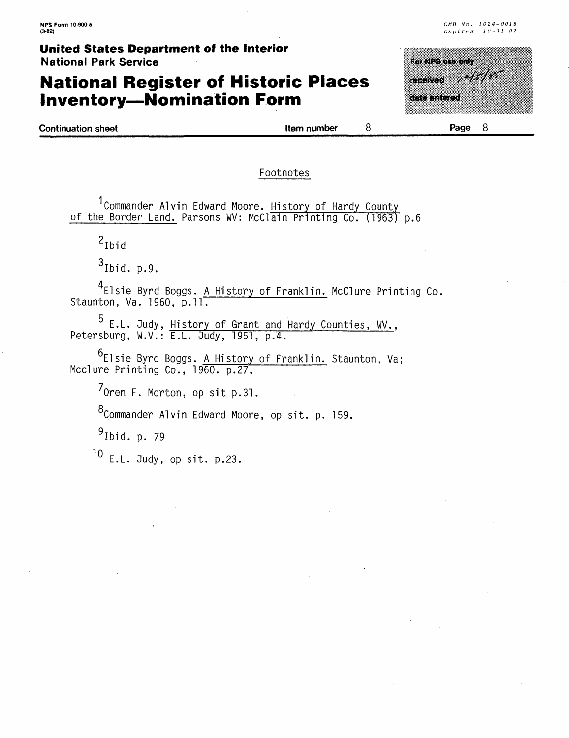### **National Register of Historic Places Inventory—Nomination Form**

| <b>SO NESSUD ONLY</b> |              |  |
|-----------------------|--------------|--|
| received              | <u> MANA</u> |  |
| date entered          |              |  |
|                       |              |  |
|                       |              |  |

Continuation sheet

Item number

 $\mathsf{R}$ 

**Page**

#### Footnotes

<sup>1</sup> Commander Alvin Edward Moore. History of Hardy County of the Border Land. Parsons WV: McClain Printing Co. (1963) p.6

 $2$ Ibid

 $3$ Ibid. p.9.

^Elsie Byrd Boggs. A History of Franklin. McClure Printing Co, Staunton, Va. 1960, p.11.

E.L. Judy, History of Grant and Hardy Counties, WV., Petersburg, W.V.: E.L. 3udy, 1951, p.4.

r Elsie Byrd Boggs. A History of Franklin. Staunton, Va; Mcclure Printing Co., 1960. p.27.

7 Oren F. Norton, op sit p.31.

8<sub>Commander</sub> Alvin Edward Moore, op sit. p. 159.

 $9$ Ibid. p. 79

 $10$  E.L. Judy, op sit. p.23.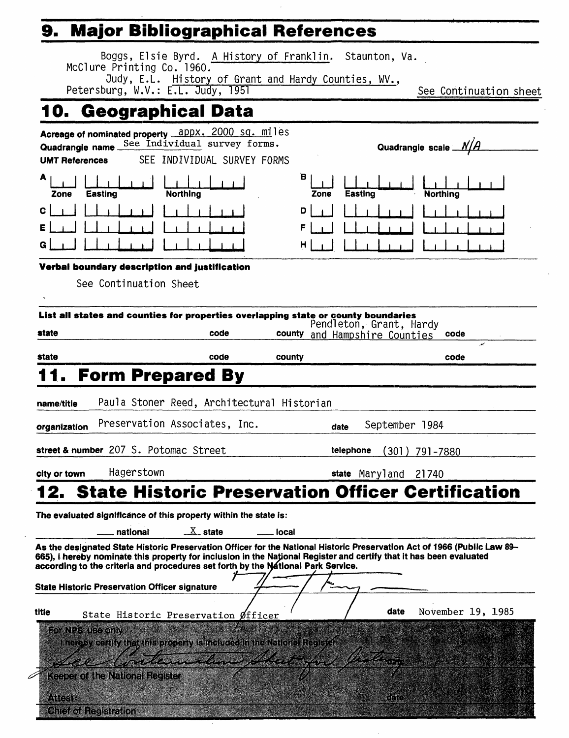# **9. Major Bibliographical References**

Chief of Registration and control

|                                           | Boggs, Elsie Byrd. A History of Franklin. Staunton, Va.<br>McClure Printing Co. 1960.<br>Judy, E.L. History of Grant and Hardy Counties, WV.,<br>Petersburg, W.V.: E.L. Judy, 1951                                                                              |                                                                                                                                                                                                                                      |             |                                                          | See Continuation sheet                                                                                                   |
|-------------------------------------------|-----------------------------------------------------------------------------------------------------------------------------------------------------------------------------------------------------------------------------------------------------------------|--------------------------------------------------------------------------------------------------------------------------------------------------------------------------------------------------------------------------------------|-------------|----------------------------------------------------------|--------------------------------------------------------------------------------------------------------------------------|
|                                           | 10. Geographical Data                                                                                                                                                                                                                                           |                                                                                                                                                                                                                                      |             |                                                          |                                                                                                                          |
| Quadrangie name_<br><b>UMT References</b> | Acreage of nominated property appx. 2000 sq. miles                                                                                                                                                                                                              | See Individual survey forms.<br>SEE INDIVIDUAL SURVEY FORMS                                                                                                                                                                          |             |                                                          | Quadrangle scale $N/A$                                                                                                   |
| А<br>Zone                                 | <b>Northing</b><br>Easting                                                                                                                                                                                                                                      |                                                                                                                                                                                                                                      | в<br>Zone   | Easting                                                  | <b>Northing</b>                                                                                                          |
| с<br>Е<br>G                               |                                                                                                                                                                                                                                                                 |                                                                                                                                                                                                                                      | D<br>F<br>н |                                                          |                                                                                                                          |
|                                           | Verbal boundary description and justification                                                                                                                                                                                                                   |                                                                                                                                                                                                                                      |             |                                                          |                                                                                                                          |
|                                           | See Continuation Sheet                                                                                                                                                                                                                                          |                                                                                                                                                                                                                                      |             |                                                          |                                                                                                                          |
| state                                     | List all states and counties for properties overlapping state or county boundaries                                                                                                                                                                              | code                                                                                                                                                                                                                                 |             | Pendleton, Grant, Hardy<br>county and Hampshire Counties | code                                                                                                                     |
| state                                     |                                                                                                                                                                                                                                                                 | code                                                                                                                                                                                                                                 | county      |                                                          | code                                                                                                                     |
| name/titie<br>organization                | Paula Stoner Reed, Architectural Historian<br>Preservation Associates, Inc.                                                                                                                                                                                     |                                                                                                                                                                                                                                      |             | date                                                     | September 1984                                                                                                           |
|                                           | street & number 207 S. Potomac Street                                                                                                                                                                                                                           |                                                                                                                                                                                                                                      |             | telephone                                                | (301) 791–7880                                                                                                           |
| city or town                              | Hagerstown                                                                                                                                                                                                                                                      |                                                                                                                                                                                                                                      |             | state Maryland 21740                                     |                                                                                                                          |
| 12.                                       |                                                                                                                                                                                                                                                                 |                                                                                                                                                                                                                                      |             |                                                          | <b>State Historic Preservation Officer Certification</b>                                                                 |
|                                           | The evaluated significance of this property within the state is:<br>national                                                                                                                                                                                    | $X1$ state                                                                                                                                                                                                                           | local       |                                                          |                                                                                                                          |
|                                           | 665), i hereby nominate this property for inclusion in the National Register and certify that it has been evaluated<br>according to the criteria and procedures set forth by the National Park Service.<br><b>State Historic Preservation Officer signature</b> |                                                                                                                                                                                                                                      |             |                                                          | As the designated State Historic Preservation Officer for the National Historic Preservation Act of 1966 (Public Law 89- |
| titie<br>For NPS use only                 | State Historic Preservation Øfficer<br>hereby certify that this property is included in the National Register                                                                                                                                                   | <u> University of the Community of the Community of the Community of the Community of the Community of the Community of the Community of the Community of the Community of the Community of the Community of the Community of th</u> |             | date<br>ಾಮಿ ಪ್ರತಿ<br>ಬಿಲ್ಗೆ ಕೆಲ                          | November 19, 1985                                                                                                        |
| ANGSIE                                    | <b>Keeper of the National Register</b>                                                                                                                                                                                                                          |                                                                                                                                                                                                                                      |             | GER                                                      |                                                                                                                          |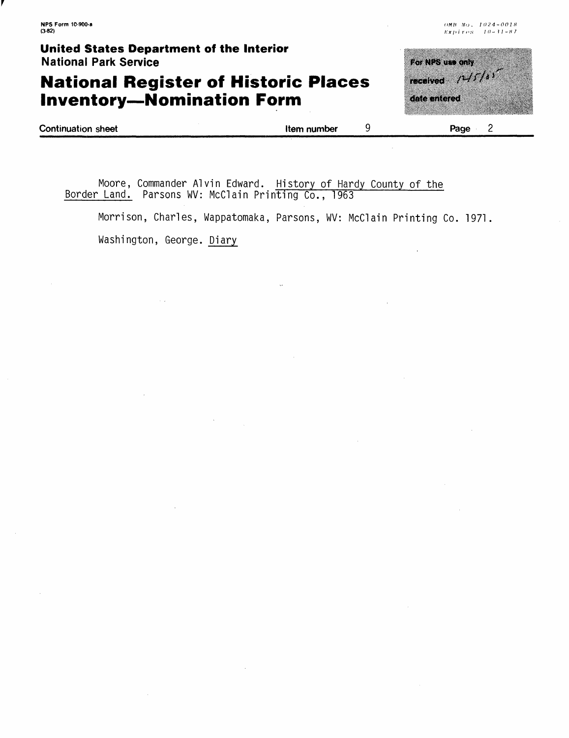**NPS Form 10-900-a (3-82)**

#### **United States Department of the Interior** National Park Service

### **National Register of Historic Places Inventory—Nomination Form**

| For NPS use only |  |  |
|------------------|--|--|
| received 74/7/11 |  |  |
|                  |  |  |
| date entered     |  |  |
|                  |  |  |
|                  |  |  |

| <b>Continuation sheet</b> | Item number | Page |
|---------------------------|-------------|------|
|                           |             |      |

Moore, Commander Alvin Edward. History of Hardy County of the Border Land. Parsons WV: McClain Printing Co., 1963

Morrison, Charles, Wappatomaka, Parsons, WV: McClain Printing Co. 1971.

Washington, George. Diary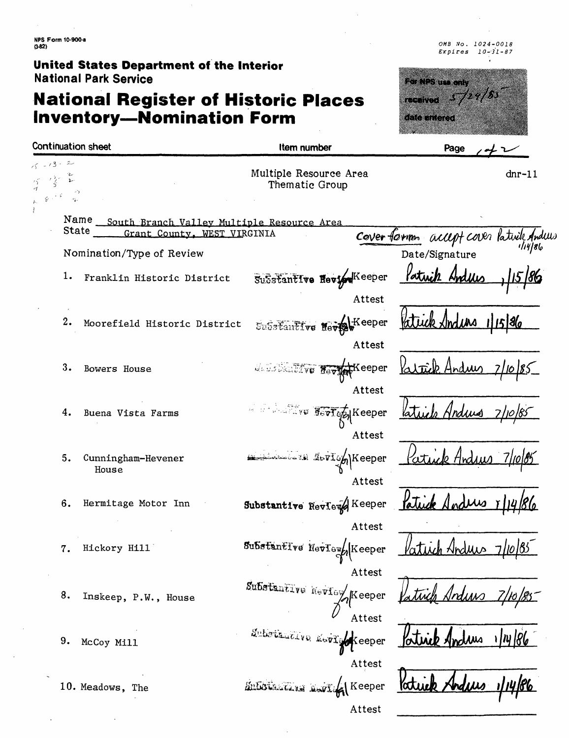**NFS Form 10-900-a (3\*2)**

**United States Department of the Interior** National Park Service

### **National Register of Historic Places Inventory—Nomination Form**

*OMB* ,Vo. *1024-0018 Expires 10-31-87*



| Continuation sheet |                                                                                   | Item number                                                                                                                                                                                                       | Page                                    |
|--------------------|-----------------------------------------------------------------------------------|-------------------------------------------------------------------------------------------------------------------------------------------------------------------------------------------------------------------|-----------------------------------------|
| $13 - 2$           |                                                                                   | Multiple Resource Area<br>Thematic Group                                                                                                                                                                          | $dnr-11$                                |
| State              | Name<br>South Branch Valley Multiple Resource Area<br>Grant County, WEST VIRGINIA |                                                                                                                                                                                                                   | Cover form accept cover lativity Anders |
|                    | Nomination/Type of Review                                                         |                                                                                                                                                                                                                   | Date/Signature                          |
| 1.                 | Franklin Historic District                                                        | Substantive Heview <sup>Keeper</sup>                                                                                                                                                                              | Patuik<br>Hodily                        |
| 2.                 | Moorefield Historic District                                                      | Attest<br>Substantive Nevisew Keeper<br>Attest                                                                                                                                                                    | 11586<br>(Ind UN                        |
| 3.                 | Bowers House                                                                      | MANISTRATIVE Nevy Receper                                                                                                                                                                                         | Andrew                                  |
| 4.                 | Buena Vista Farms                                                                 | Attest<br>$\frac{1}{16}$ , $\frac{1}{12}$ , $\frac{1}{2}$<br>$\mathbb{E}[\mathbb{E}[\mathbf{v}]\mathbf{v}]\mathbb{E}[\mathbf{v}]\mathbf{v}$ $\mathbb{E}[\mathbf{v}]\mathbf{v}$ $\mathbb{E}[\mathbf{v}]\mathbf{v}$ |                                         |
| 5.                 | Cunningham-Hevener<br>House                                                       | Attest<br>LevIon Keeper<br>Attest                                                                                                                                                                                 | atuik<br>Hnd                            |
| 6.                 | Hermitage Motor Inn                                                               | Substantive Review Keeper                                                                                                                                                                                         |                                         |
| 7.                 | Hickory Hill                                                                      | Attest<br>Substantive Neviewh Keeper                                                                                                                                                                              | Tuch Hodius                             |
| 8.                 | Inskeep, P.W., House                                                              | Attest<br>Substantive Review Keeper                                                                                                                                                                               |                                         |
| 9.                 | McCoy Mill                                                                        | Attest<br>Satstantive movie keeper                                                                                                                                                                                | Portice And                             |
|                    | 10. Meadows, The                                                                  | Attest<br><b>SULLOS CALLED 250</b><br>Keeper                                                                                                                                                                      | late                                    |
|                    |                                                                                   | Attest                                                                                                                                                                                                            |                                         |